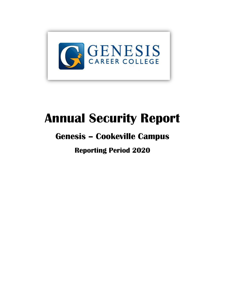

# **Annual Security Report**

## **Genesis – Cookeville Campus**

### **Reporting Period 2020**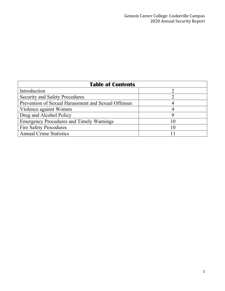| <b>Table of Contents</b>                            |    |
|-----------------------------------------------------|----|
| Introduction                                        |    |
| <b>Security and Safety Procedures</b>               |    |
| Prevention of Sexual Harassment and Sexual Offenses |    |
| Violence against Women                              |    |
| Drug and Alcohol Policy                             |    |
| <b>Emergency Procedures and Timely Warnings</b>     |    |
| <b>Fire Safety Procedures</b>                       | 10 |
| <b>Annual Crime Statistics</b>                      |    |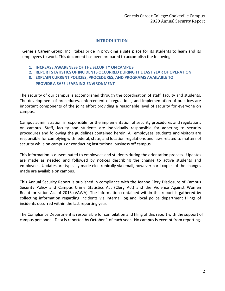#### **INTRODUCTION**

Genesis Career Group, Inc. takes pride in providing a safe place for its students to learn and its employees to work. This document has been prepared to accomplish the following:

- **1. INCREASE AWARENESS OF THE SECURITY ONCAMPUS**
- **2. REPORT STATISTICS OF INCIDENTS OCCURRED DURING THE LAST YEAR OF OPERATION**
- **3. EXPLAIN CURRENT POLICIES, PROCEDURES, AND PROGRAMS AVAILABLE TO**
	- **PROVIDE A SAFE LEARNING ENVIRONMENT**

The security of our campus is accomplished through the coordination of staff, faculty and students. The development of procedures, enforcement of regulations, and implementation of practices are important components of the joint effort providing a reasonable level of security for everyone on campus.

Campus administration is responsible for the implementation of security procedures and regulations on campus. Staff, faculty and students are individually responsible for adhering to security procedures and following the guidelines contained herein. All employees, students and visitors are responsible for complying with federal, state, and location regulations and laws related to matters of security while on campus or conducting institutional business off campus.

This information is disseminated to employees and students during the orientation process. Updates are made as needed and followed by notices describing the change to active students and employees. Updates are typically made electronically via email; however hard copies of the changes made are available on campus.

This Annual Security Report is published in compliance with the Jeanne Clery Disclosure of Campus Security Policy and Campus Crime Statistics Act (Clery Act) and the Violence Against Women Reauthorization Act of 2013 (VAWA). The information contained within this report is gathered by collecting information regarding incidents via internal log and local police department filings of incidents occurred within the last reporting year.

The Compliance Department is responsible for compilation and filing of this report with the support of campus personnel. Data is reported by October 1 of each year. No campus is exempt from reporting.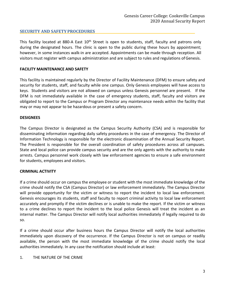#### **SECURITY AND SAFETY PROCEDURES**

This facility located at 880-A East 10<sup>th</sup> Street is open to students, staff, faculty and patrons only during the designated hours. The clinic is open to the public during these hours by appointment; however, in some instances walk-in are accepted. Appointments can be made through reception. All visitors must register with campus administration and are subject to rules and regulations ofGenesis.

#### **FACILITY MAINTENANCE AND SAFETY**

This facility is maintained regularly by the Director of Facility Maintenance (DFM) to ensure safety and security for students, staff, and faculty while one campus. Only Genesis employees will have access to keys. Students and visitors are not allowed on campus unless Genesis personnel are present. If the DFM is not immediately available in the case of emergency students, staff, faculty and visitors are obligated to report to the Campus or Program Director any maintenance needs within the facility that may or may not appear to be hazardous or present a safety concern.

#### **DESIGNEES**

The Campus Director is designated as the Campus Security Authority (CSA) and is responsible for disseminating information regarding daily safety procedures in the case of emergency. The Director of Information Technology is responsible for the electronic dissemination of the Annual Security Report. The President is responsible for the overall coordination of safety procedures across all campuses. State and local police can provide campus security and are the only agents with the authority to make arrests. Campus personnel work closely with law enforcement agencies to ensure a safe environment for students, employees and visitors.

#### **CRIMINAL ACTIVITY**

If a crime should occur on campus the employee or student with the most immediate knowledge of the crime should notify the CSA (Campus Director) or law enforcement immediately. The Campus Director will provide opportunity for the victim or witness to report the incident to local law enforcement. Genesis encourages its students, staff and faculty to report criminal activity to local law enforcement accurately and promptly if the victim declines or is unable to make the report. If the victim or witness to a crime declines to report the incident to the local police Genesis will treat the incident as an internal matter. The Campus Director will notify local authorities immediately if legally required to do so.

If a crime should occur after business hours the Campus Director will notify the local authorities immediately upon discovery of the occurrence. If the Campus Director is not on campus or readily available, the person with the most immediate knowledge of the crime should notify the local authorities immediately. In any case the notification should include at least:

#### 1. THE NATURE OF THE CRIME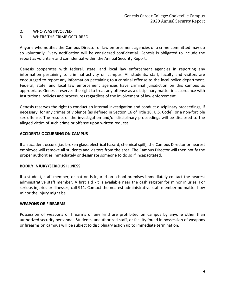#### 2. WHO WAS INVOLVED

#### 3. WHERE THE CRIME OCCURRED

Anyone who notifies the Campus Director or law enforcement agencies of a crime committed may do so voluntarily. Every notification will be considered confidential. Genesis is obligated to include the report as voluntary and confidential within the Annual Security Report.

Genesis cooperates with federal, state, and local law enforcement agencies in reporting any information pertaining to criminal activity on campus. All students, staff, faculty and visitors are encouraged to report any information pertaining to a criminal offense to the local police department. Federal, state, and local law enforcement agencies have criminal jurisdiction on this campus as appropriate. Genesis reserves the right to treat any offense as a disciplinary matter in accordance with Institutional policies and procedures regardless of the involvement of law enforcement.

Genesis reserves the right to conduct an internal investigation and conduct disciplinary proceedings, if necessary, for any crimes of violence (as defined in Section 16 of Title 18, U.S. Code), or a non-forcible sex offense. The results of the investigation and/or disciplinary proceedings will be disclosed to the alleged victim of such crime or offense upon written request.

#### **ACCIDENTS OCCURRING ON CAMPUS**

If an accident occurs (i.e. broken glass, electrical hazard, chemical spill), the Campus Director or nearest employee will remove all students and visitors from the area. The Campus Director will then notify the proper authorities immediately or designate someone to do so if incapacitated.

#### **BODILY INJURY/SERIOUS ILLNESS**

If a student, staff member, or patron is injured on school premises immediately contact the nearest administrative staff member. A first aid kit is available near the cash register for minor injuries. For serious injuries or illnesses, call 911. Contact the nearest administrative staff member no matter how minor the injury might be.

#### **WEAPONS OR FIREARMS**

Possession of weapons or firearms of any kind are prohibited on campus by anyone other than authorized security personnel. Students, unauthorized staff, or faculty found in possession of weapons or firearms on campus will be subject to disciplinary action up to immediate termination.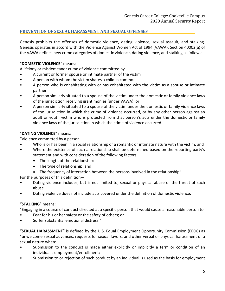#### **PREVENTION OF SEXUAL HARASSMENT AND SEXUAL OFFENSES**

Genesis prohibits the offenses of domestic violence, dating violence, sexual assault, and stalking. Genesis operates in accord with the Violence Against Women Act of 1994 (VAWA). Section 40002(a) of the VAWA defines new crime categories of domestic violence, dating violence, and stalking as follows:

#### "**DOMESTIC VIOLENCE**" means:

A "felony or misdemeanor crime of violence committed by –

- A current or former spouse or intimate partner of the victim
- A person with whom the victim shares a child in common
- A person who is cohabitating with or has cohabitated with the victim as a spouse or intimate partner
- A person similarly situated to a spouse of the victim under the domestic or family violence laws of the jurisdiction receiving grant monies (under VAWA), or
- A person similarly situated to a spouse of the victim under the domestic or family violence laws of the jurisdiction in which the crime of violence occurred, or by any other person against an adult or youth victim who is protected from that person's acts under the domestic or family violence laws of the jurisdiction in which the crime of violence occurred.

#### "**DATING VIOLENCE**" means:

"Violence committed by a person –

- Who is or has been in a social relationship of a romantic or intimate nature with the victim; and
- Where the existence of such a relationship shall be determined based on the reporting party's statement and with consideration of the following factors:
	- The length of the relationship;
	- The type of relationship; and
	- The frequency of interaction between the persons involved in the relationship"

For the purposes of this definition—

- Dating violence includes, but is not limited to, sexual or physical abuse or the threat of such abuse.
- Dating violence does not include acts covered under the definition of domestic violence.

#### "**STALKING**" means:

"Engaging in a course of conduct directed at a specific person that would cause a reasonable person to

- Fear for his or her safety or the safety of others; or
- Suffer substantial emotional distress."

"**SEXUAL HARASSMENT**" is defined by the U.S. Equal Employment Opportunity Commission (EEOC) as "unwelcome sexual advances, requests for sexual favors, and other verbal or physical harassment of a sexual nature when:

- Submission to the conduct is made either explicitly or implicitly a term or condition of an individual's employment/enrollment;
- Submission to or rejection of such conduct by an individual is used as the basis for employment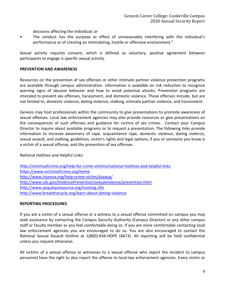decisions affecting the individual; or

• The conduct has the purpose or effect of unreasonably interfering with the individual's performance or of creating an intimidating, hostile or offensive environment."

Sexual activity requires consent, which is defined as voluntary, positive agreement between participants to engage is specific sexual activity.

#### **PREVENTION AND AWARENESS**

Resources on the prevention of sex offenses or other intimate partner violence prevention programs are available through campus administration. Information is available on risk reduction to recognize warning signs of abusive behavior and how to avoid potential attacks. Prevention programs are intended to prevent sex offenses, harassment, and domestic violence. These offenses include, but are not limited to, domestic violence, dating violence, stalking, intimate partner violence, and harassment.

Genesis may host professionals within the community to give presentations to promote awareness of sexual offenses. Local law enforcement agencies may also provide resources or give presentations on the consequences of such offenses and guidance for victims of sex crimes. Contact your Campus Director to inquire about available programs or to request a presentation. The following links provide information to increase awareness of rape, acquaintance rape, domestic violence, dating violence, sexual assault, and stalking, guidelines, victim's rights and legal options, if you or someone you know is a victim of a sexual offense, and the prevention of sex offenses.

National Hotlines and Helpful Links:

| http://victimsofcrime.org/help-for-crime-victims/national-hotlines-and-helpful-links |
|--------------------------------------------------------------------------------------|
| https://www.victimsofcrime.org/home                                                  |
| http://www.trynova.org/help-crime-victim/dsaacp/                                     |
| http://www.cdc.gov/ViolencePrevention/sexualviolence/prevention.html                 |
| http://www.aequitasresource.org/training.cfm                                         |
| http://www.breakthecycle.org/learn-about-dating-violence                             |

#### **REPORTING PROCEDURES**

If you are a victim of a sexual offense or a witness to a sexual offense committed on campus you may seek assistance by contacting the Campus Security Authority (Campus Director) or any other campus staff or faculty member as you feel comfortable doing so. If you are more comfortable contacting local law enforcement agencies you are encouraged to do so. You are also encouraged to contact the National Sexual Assault Hotline at 1(800)-656-HOPE (4673). All reporting will be held confidential unless you request otherwise.

All victims of a sexual offense or witnesses to a sexual offense who report the incident to campus personnel have the right to also report the offense to local law enforcement agencies. Every victim or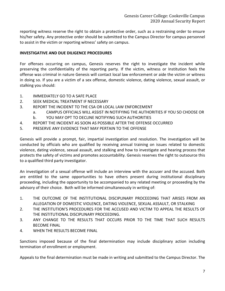reporting witness reserve the right to obtain a protective order, such as a restraining order to ensure his/her safety. Any protective order should be submitted to the Campus Director for campus personnel to assist in the victim or reporting witness' safety on campus.

#### **INVESTIGATIVE AND DUE DILIGENCE PROCEDURES**

For offenses occurring on campus, Genesis reserves the right to investigate the incident while preserving the confidentiality of the reporting party. If the victim, witness or Institution feels the offense was criminal in nature Genesis will contact local law enforcement or aide the victim or witness in doing so. If you are a victim of a sex offense, domestic violence, dating violence, sexual assault, or stalking you should:

- 1. IMMEDIATELY GO TO A SAFE PLACE
- 2. SEEK MEDICAL TREATMENT IF NECESSARY
- 3. REPORT THE INCIDENT TO THE CSA OR LOCAL LAW ENFORCEMENT
	- a. CAMPUS OFFICIALS WILL ASSIST IN NOTIFYING THE AUTHORITIES IF YOU SO CHOOSE OR
	- b. YOU MAY OPT TO DECLINE NOTIFYING SUCH AUTHORITIES
- 4. REPORT THE INCIDENT AS SOON AS POSSIBLE AFTER THE OFFENSE OCCURRED
- 5. PRESERVE ANY EVIDENCE THAT MAY PERTAIN TO THE OFFENSE

Genesis will provide a prompt, fair, impartial investigation and resolution. The investigation will be conducted by officials who are qualified by receiving annual training on issues related to domestic violence, dating violence, sexual assault, and stalking and how to investigate and hearing process that protects the safety of victims and promotes accountability. Genesis reserves the right to outsource this to a qualified third party investigator.

An investigation of a sexual offense will include an interview with the accuser and the accused. Both are entitled to the same opportunities to have others present during institutional disciplinary proceeding, including the opportunity to be accompanied to any related meeting or proceeding by the advisory of their choice. Both will be informed simultaneously in writing of:

- 1. THE OUTCOME OF THE INSTITUTIONAL DISCIPLINARY PROCEEDING THAT ARISES FROM AN ALLEGATION OF DOMESTIC VIOLENCE, DATING VIOLENCE, SEXUAL ASSAULT, OR STALKING
- 2. THE INSTITUTION'S PROCEDURES FOR THE ACCUSED AND VICTIM TO APPEAL THE RESULTS OF THE INSTITUTIONAL DISCIPLINARY PROCEEDING.
- 3. ANY CHANGE TO THE RESULTS THAT OCCURS PRIOR TO THE TIME THAT SUCH RESULTS BECOME FINAL
- 4. WHEN THE RESULTS BECOME FINAL

Sanctions imposed because of the final determination may include disciplinary action including termination of enrollment or employment.

Appeals to the final determination must be made in writing and submitted to the Campus Director. The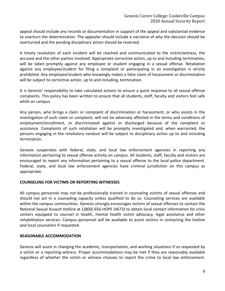appeal should include any records or documentation in support of the appeal and substantial evidence to overturn the determination. The appealer should include a narrative of why the decision should be overturned and the pending disciplinary action should be reversed.

A timely resolution of each incident will be reached and communicated to the victim/witness, the accused and the other parties involved. Appropriate corrective action, up to and including termination, will be taken promptly against any employee or student engaging in a sexual offense. Retaliation against any employee/student for filing a complaint or participating in an investigation is strictly prohibited. Any employee/student who knowingly makes a false claim of harassment or discrimination will be subject to corrective action, up to and including, termination.

It is Genesis' responsibility to take calculated actions to ensure a quick response to all sexual offense complaints. This policy has been written to ensure that all students, staff, faculty and visitors feel safe while on campus.

Any person, who brings a claim or complaint of discrimination or harassment, or who assists in the investigation of such claim or complaint, will not be adversely affected in the terms and conditions of employment/enrollment, or discriminated against or discharged because of the complaint or assistance. Complaints of such retaliation will be promptly investigated and, when warranted, the persons engaging in the retaliatory conduct will be subject to disciplinary action up to and including termination.

Genesis cooperates with federal, state, and local law enforcement agencies in reporting any information pertaining to sexual offense activity on campus. All students, staff, faculty and visitors are encouraged to report any information pertaining to a sexual offense to the local police department. Federal, state, and local law enforcement agencies have criminal jurisdiction on this campus as appropriate.

#### **COUNSELING FOR VICTIMS OR REPORTING WITNESSES**

All campus personnel may not be professionally trained in counseling victims of sexual offenses and should not act in a counseling capacity unless qualified to do so. Counseling services are available within the campus communities. Genesis strongly encourages victims of sexual offenses to contact the National Sexual Assault Hotline at 1(800) 656-HOPE (4673) to obtain local contact information for crisis centers equipped to counsel in health, mental health victim advocacy, legal assistance and other rehabilitation services. Campus personnel will be available to assist victims in contacting the hotline and local counselors if requested.

#### **REASONABLE ACCOMMODATION**

Genesis will assist in changing the academic, transportation, and working situations if so requested by a victim or a reporting witness. Proper accommodations may be met if they are reasonably available regardless of whether the victim or witness chooses to report the crime to local law enforcement.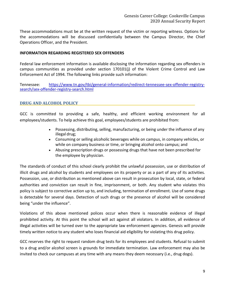These accommodations must be at the written request of the victim or reporting witness. Options for the accommodations will be discussed confidentially between the Campus Director, the Chief Operations Officer, and the President.

#### **INFORMATION REGARDING REGISTERED SEX OFFENDERS**

Federal law enforcement information is available disclosing the information regarding sex offenders in campus communities as provided under section 170101(j) of the Violent Crime Control and Law Enforcement Act of 1994. The following links provide such information:

Tennessee: [https://www.tn.gov/tbi/general-information/redirect-tennessee-sex-offender-registry](https://www.tn.gov/tbi/general-information/redirect-tennessee-sex-offender-registry-search/sex-offender-registry-search.html)[search/sex-offender-registry-search.html](https://www.tn.gov/tbi/general-information/redirect-tennessee-sex-offender-registry-search/sex-offender-registry-search.html)

#### **DRUG AND ALCOHOL POLICY**

GCC is committed to providing a safe, healthy, and efficient working environment for all employees/students. To help achieve this goal, employees/students are prohibited from:

- Possessing, distributing, selling, manufacturing, or being under the influence of any illegal drug;
- Consuming or selling alcoholic beverages while on campus, in company vehicles, or while on company business or time, or bringing alcohol onto campus; and
- Abusing prescription drugs or possessing drugs that have not been prescribed for the employee by physician.

The standards of conduct of this school clearly prohibit the unlawful possession, use or distribution of illicit drugs and alcohol by students and employees on its property or as a part of any of its activities. Possession, use, or distribution as mentioned above can result in prosecution by local, state, or federal authorities and conviction can result in fine, imprisonment, or both. Any student who violates this policy is subject to corrective action up to, and including, termination of enrollment. Use of some drugs is detectable for several days. Detection of such drugs or the presence of alcohol will be considered being "under the influence".

Violations of this above mentioned polices occur when there is reasonable evidence of illegal prohibited activity. At this point the school will act against all violators. In addition, all evidence of illegal activities will be turned over to the appropriate law enforcement agencies. Genesis will provide timely written notice to any student who loses financial aid eligibility for violating this drug policy.

GCC reserves the right to request random drug tests for its employees and students. Refusal to submit to a drug and/or alcohol screen is grounds for immediate termination. Law enforcement may also be invited to check our campuses at any time with any means they deem necessary (i.e., drug dogs).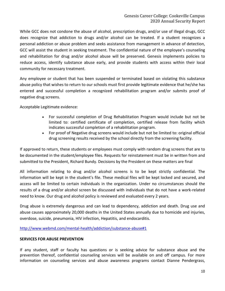While GCC does not condone the abuse of alcohol, prescription drugs, and/or use of illegal drugs, GCC does recognize that addiction to drugs and/or alcohol can be treated. If a student recognizes a personal addiction or abuse problem and seeks assistance from management in advance of detection, GCC will assist the student in seeking treatment. The confidential nature of the employee's counseling and rehabilitation for drug and/or alcohol abuse will be preserved. Genesis implements policies to reduce access, identify substance abuse early, and provide students with access within their local community for necessary treatment.

Any employee or student that has been suspended or terminated based on violating this substance abuse policy that wishes to return to our schools must first provide legitimate evidence that he/she has entered and successful completion a recognized rehabilitation program and/or submits proof of negative drug screens.

Acceptable Legitimate evidence:

- For successful completion of Drug Rehabilitation Program would include but not be limited to: certified certificate of completion, certified release from facility which indicates successful completion of a rehabilitation program.
- For proof of Negative drug screens would include but not be limited to: original official drug screening results received by the school directly from the screening facility.

If approved to return, these students or employees must comply with random drug screens that are to be documented in the student/employee files. Requests for reinstatement must be in written from and submitted to the President, Richard Bundy. Decisions by the President on these matters are final

All information relating to drug and/or alcohol screens is to be kept strictly confidential. The information will be kept in the student's file. These medical files will be kept locked and secured, and access will be limited to certain individuals in the organization. Under no circumstances should the results of a drug and/or alcohol screen be discussed with individuals that do not have a work-related need to know. Our drug and alcohol policy is reviewed and evaluated every 2 years.

Drug abuse is extremely dangerous and can lead to dependency, addiction and death. Drug use and abuse causes approximately 20,000 deaths in the United States annually due to homicide and injuries, overdose, suicide, pneumonia, HIV infection, Hepatitis, and endocarditis.

http://www.webmd.com/mental-health/addiction/substance-abuse#1

#### **SERVICES FOR ABUSE PREVENTION**

If any student, staff or faculty has questions or is seeking advice for substance abuse and the prevention thereof, confidential counseling services will be available on and off campus. For more information on counseling services and abuse awareness programs contact Dianne Pendergrass,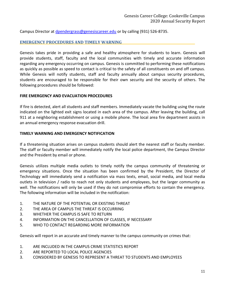Campus Director at dpendergrass@genesiscareer.edu or by calling (931) 526-8735.

#### **EMERGENCY PROCEDURES AND TIMELY WARNING**

Genesis takes pride in providing a safe and healthy atmosphere for students to learn. Genesis will provide students, staff, faculty and the local communities with timely and accurate information regarding any emergency occurring on campus. Genesis is committed to performing these notifications as quickly as possible as speed to contact is critical to the safety of all constituents on and off campus. While Genesis will notify students, staff and faculty annually about campus security procedures, students are encouraged to be responsible for their own security and the security of others. The following procedures should be followed:

#### **FIRE EMERGENCY AND EVACUATION PROCEDURES**

If fire is detected, alert all students and staff members. Immediately vacate the building using the route indicated on the lighted exit signs located in each area of the campus. After leaving the building, call 911 at a neighboring establishment or using a mobile phone. The local area fire department assists in an annual emergency response evacuation drill.

#### **TIMELY WARNING AND EMERGENCY NOTIFICATION**

If a threatening situation arises on campus students should alert the nearest staff or faculty member. The staff or faculty member will immediately notify the local police department, the Campus Director and the President by email or phone.

Genesis utilizes multiple media outlets to timely notify the campus community of threatening or emergency situations. Once the situation has been confirmed by the President, the Director of Technology will immediately send a notification via mass texts, email, social media, and local media outlets in television / radio to reach not only students and employees, but the larger community as well. The notifications will only be used if they do not compromise efforts to contain the emergency. The following information will be included in the notification:

- 1. THE NATURE OF THE POTENTIAL OR EXISTING THREAT
- 2. THE AREA OF CAMPUS THE THREAT IS OCCURRING
- 3. WHETHER THE CAMPUS IS SAFE TO RETURN
- 4. INFORMATION ON THE CANCELLATION OF CLASSES, IF NECESSARY
- 5. WHO TO CONTACT REGARDING MORE INFORMATION

Genesis will report in an accurate and timely manner to the campus community on crimes that:

- 1. ARE INCLUDED IN THE CAMPUS CRIME STATISTICS REPORT
- 2. ARE REPORTED TO LOCAL POLICE AGENCIES
- 3. CONSIDERED BY GENESIS TO REPRESENT A THREAT TO STUDENTS AND EMPLOYEES